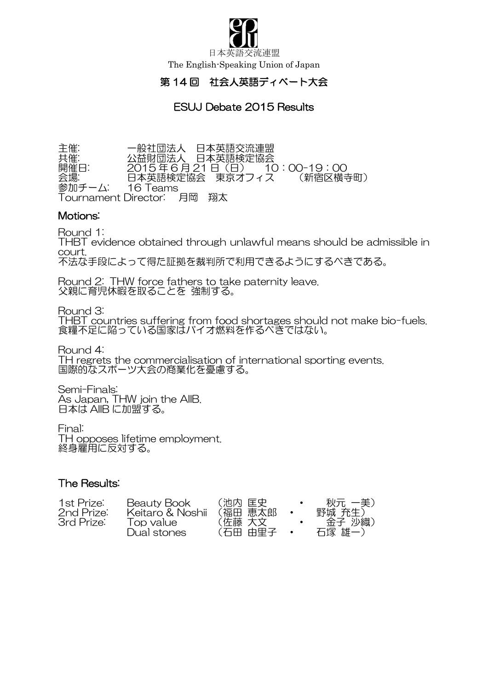

日本英語交流連盟 The English-Speaking Union of Japan

## 第 14 回 社会人英語ディベート大会

# ESUJ Debate 2015 Results

主催: アンコンの主般社団法人 日本英語交流連盟 共催: 公益財団法人 日本英語検定協会 開催日: 2015 年 6 月 21 日(日) 10:00-19:00 会場: 日本英語検定協会 東京オフィス (新宿区横寺町) 参加チーム: 16 Teams Tournament Director: 月岡 翔太

#### Motions:

Round 1:

THBT evidence obtained through unlawful means should be admissible in court. 不法な手段によって得た証拠を裁判所で利用できるようにするべきである。

Round 2: THW force fathers to take paternity leave. 父親に育児休暇を取ることを 強制する。

Round 3: THBT countries suffering from food shortages should not make bio-fuels. 食糧不足に陥っている国家はバイオ燃料を作るべきではない。

Round 4: TH regrets the commercialisation of international sporting events. 国際的なスポーツ大会の商業化を憂慮する。

Semi-Finals: As Japan, THW join the AIIB. 日本は AIIB に加盟する。

Final: TH opposes lifetime employment. 終身雇用に反対する。

#### The Results:

| 1st Prize: | Beauty Book      | (池内 匡史  | 秋元 一美) |
|------------|------------------|---------|--------|
| 2nd Prize: | Keitaro & Noshii | (福田 恵太郎 | 野城 充生) |
| 3rd Prize: | Top value        | (佐藤 大文  | 金子 沙織) |
|            | Dual stones      | (石田 中里子 | 石塚 雄一) |